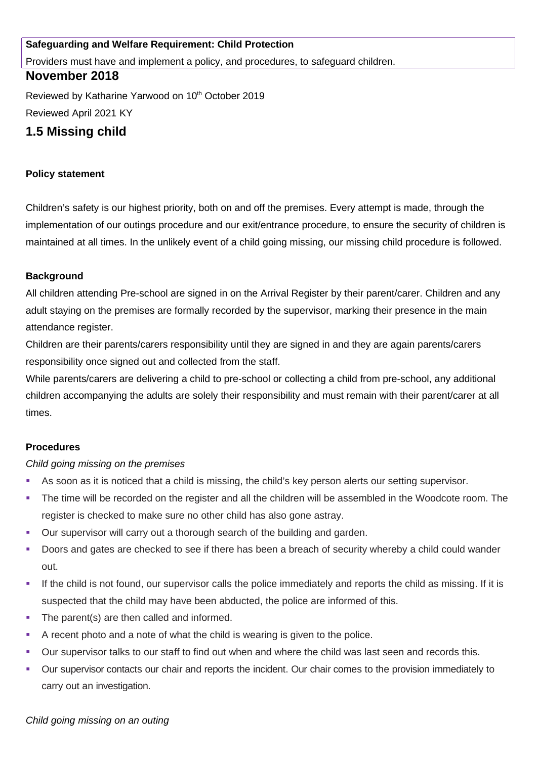## **Safeguarding and Welfare Requirement: Child Protection**

Providers must have and implement a policy, and procedures, to safeguard children.

# **November 2018**

Reviewed by Katharine Yarwood on 10<sup>th</sup> October 2019 Reviewed April 2021 KY

# **1.5 Missing child**

### **Policy statement**

Children's safety is our highest priority, both on and off the premises. Every attempt is made, through the implementation of our outings procedure and our exit/entrance procedure, to ensure the security of children is maintained at all times. In the unlikely event of a child going missing, our missing child procedure is followed.

#### **Background**

All children attending Pre-school are signed in on the Arrival Register by their parent/carer. Children and any adult staying on the premises are formally recorded by the supervisor, marking their presence in the main attendance register.

Children are their parents/carers responsibility until they are signed in and they are again parents/carers responsibility once signed out and collected from the staff.

While parents/carers are delivering a child to pre-school or collecting a child from pre-school, any additional children accompanying the adults are solely their responsibility and must remain with their parent/carer at all times.

## **Procedures**

#### *Child going missing on the premises*

- As soon as it is noticed that a child is missing, the child's key person alerts our setting supervisor.
- The time will be recorded on the register and all the children will be assembled in the Woodcote room. The register is checked to make sure no other child has also gone astray.
- Our supervisor will carry out a thorough search of the building and garden.
- Doors and gates are checked to see if there has been a breach of security whereby a child could wander out.
- If the child is not found, our supervisor calls the police immediately and reports the child as missing. If it is suspected that the child may have been abducted, the police are informed of this.
- The parent(s) are then called and informed.
- A recent photo and a note of what the child is wearing is given to the police.
- Our supervisor talks to our staff to find out when and where the child was last seen and records this.
- Our supervisor contacts our chair and reports the incident. Our chair comes to the provision immediately to carry out an investigation.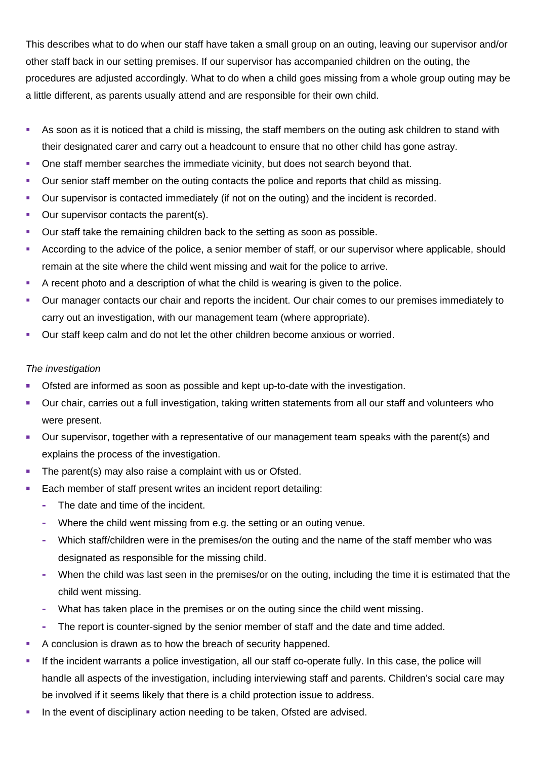This describes what to do when our staff have taken a small group on an outing, leaving our supervisor and/or other staff back in our setting premises. If our supervisor has accompanied children on the outing, the procedures are adjusted accordingly. What to do when a child goes missing from a whole group outing may be a little different, as parents usually attend and are responsible for their own child.

- As soon as it is noticed that a child is missing, the staff members on the outing ask children to stand with their designated carer and carry out a headcount to ensure that no other child has gone astray.
- One staff member searches the immediate vicinity, but does not search beyond that.
- Our senior staff member on the outing contacts the police and reports that child as missing.
- Our supervisor is contacted immediately (if not on the outing) and the incident is recorded.
- **Our supervisor contacts the parent(s).**
- Our staff take the remaining children back to the setting as soon as possible.
- According to the advice of the police, a senior member of staff, or our supervisor where applicable, should remain at the site where the child went missing and wait for the police to arrive.
- A recent photo and a description of what the child is wearing is given to the police.
- Our manager contacts our chair and reports the incident. Our chair comes to our premises immediately to carry out an investigation, with our management team (where appropriate).
- Our staff keep calm and do not let the other children become anxious or worried.

## *The investigation*

- Ofsted are informed as soon as possible and kept up-to-date with the investigation.
- Our chair, carries out a full investigation, taking written statements from all our staff and volunteers who were present.
- Our supervisor, together with a representative of our management team speaks with the parent(s) and explains the process of the investigation.
- The parent(s) may also raise a complaint with us or Ofsted.
- Each member of staff present writes an incident report detailing:
	- **-** The date and time of the incident.
	- **-** Where the child went missing from e.g. the setting or an outing venue.
	- **-** Which staff/children were in the premises/on the outing and the name of the staff member who was designated as responsible for the missing child.
	- **-** When the child was last seen in the premises/or on the outing, including the time it is estimated that the child went missing.
	- **-** What has taken place in the premises or on the outing since the child went missing.
	- **-** The report is counter-signed by the senior member of staff and the date and time added.
- A conclusion is drawn as to how the breach of security happened.
- If the incident warrants a police investigation, all our staff co-operate fully. In this case, the police will handle all aspects of the investigation, including interviewing staff and parents. Children's social care may be involved if it seems likely that there is a child protection issue to address.
- In the event of disciplinary action needing to be taken, Ofsted are advised.